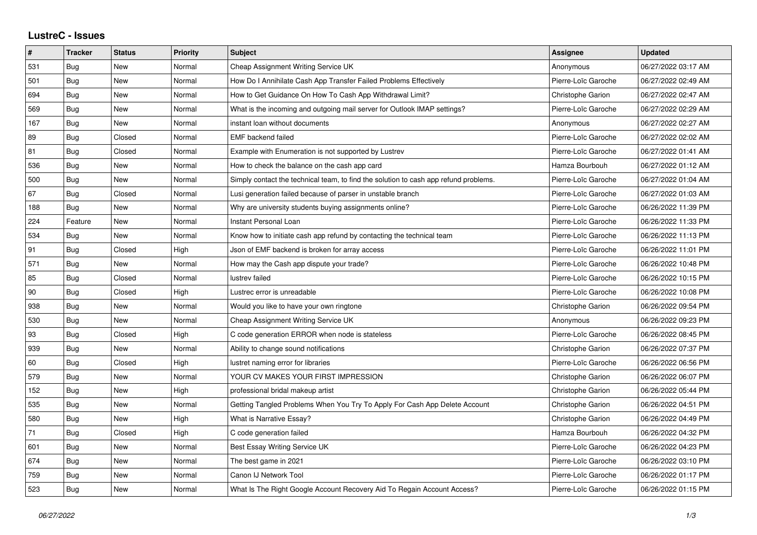## **LustreC - Issues**

| $\sharp$ | <b>Tracker</b> | <b>Status</b> | <b>Priority</b> | <b>Subject</b>                                                                       | <b>Assignee</b>          | <b>Updated</b>      |
|----------|----------------|---------------|-----------------|--------------------------------------------------------------------------------------|--------------------------|---------------------|
| 531      | Bug            | <b>New</b>    | Normal          | Cheap Assignment Writing Service UK                                                  | Anonymous                | 06/27/2022 03:17 AM |
| 501      | Bug            | <b>New</b>    | Normal          | How Do I Annihilate Cash App Transfer Failed Problems Effectively                    | Pierre-Loïc Garoche      | 06/27/2022 02:49 AM |
| 694      | Bug            | <b>New</b>    | Normal          | How to Get Guidance On How To Cash App Withdrawal Limit?                             | Christophe Garion        | 06/27/2022 02:47 AM |
| 569      | Bug            | <b>New</b>    | Normal          | What is the incoming and outgoing mail server for Outlook IMAP settings?             | Pierre-Loïc Garoche      | 06/27/2022 02:29 AM |
| 167      | Bug            | <b>New</b>    | Normal          | instant loan without documents                                                       | Anonymous                | 06/27/2022 02:27 AM |
| 89       | Bug            | Closed        | Normal          | <b>EMF</b> backend failed                                                            | Pierre-Loïc Garoche      | 06/27/2022 02:02 AM |
| 81       | Bug            | Closed        | Normal          | Example with Enumeration is not supported by Lustrev                                 | Pierre-Loïc Garoche      | 06/27/2022 01:41 AM |
| 536      | Bug            | <b>New</b>    | Normal          | How to check the balance on the cash app card                                        | Hamza Bourbouh           | 06/27/2022 01:12 AM |
| 500      | <b>Bug</b>     | <b>New</b>    | Normal          | Simply contact the technical team, to find the solution to cash app refund problems. | Pierre-Loïc Garoche      | 06/27/2022 01:04 AM |
| 67       | Bug            | Closed        | Normal          | Lusi generation failed because of parser in unstable branch                          | Pierre-Loïc Garoche      | 06/27/2022 01:03 AM |
| 188      | Bug            | <b>New</b>    | Normal          | Why are university students buying assignments online?                               | Pierre-Loïc Garoche      | 06/26/2022 11:39 PM |
| 224      | Feature        | New           | Normal          | Instant Personal Loan                                                                | Pierre-Loïc Garoche      | 06/26/2022 11:33 PM |
| 534      | Bug            | <b>New</b>    | Normal          | Know how to initiate cash app refund by contacting the technical team                | Pierre-Loïc Garoche      | 06/26/2022 11:13 PM |
| 91       | Bug            | Closed        | High            | Json of EMF backend is broken for array access                                       | Pierre-Loïc Garoche      | 06/26/2022 11:01 PM |
| 571      | Bug            | <b>New</b>    | Normal          | How may the Cash app dispute your trade?                                             | Pierre-Loïc Garoche      | 06/26/2022 10:48 PM |
| 85       | Bug            | Closed        | Normal          | lustrev failed                                                                       | Pierre-Loïc Garoche      | 06/26/2022 10:15 PM |
| 90       | Bug            | Closed        | High            | Lustrec error is unreadable                                                          | Pierre-Loïc Garoche      | 06/26/2022 10:08 PM |
| 938      | <b>Bug</b>     | <b>New</b>    | Normal          | Would you like to have your own ringtone                                             | Christophe Garion        | 06/26/2022 09:54 PM |
| 530      | Bug            | <b>New</b>    | Normal          | Cheap Assignment Writing Service UK                                                  | Anonymous                | 06/26/2022 09:23 PM |
| 93       | Bug            | Closed        | High            | C code generation ERROR when node is stateless                                       | Pierre-Loïc Garoche      | 06/26/2022 08:45 PM |
| 939      | Bug            | <b>New</b>    | Normal          | Ability to change sound notifications                                                | Christophe Garion        | 06/26/2022 07:37 PM |
| 60       | Bug            | Closed        | High            | lustret naming error for libraries                                                   | Pierre-Loïc Garoche      | 06/26/2022 06:56 PM |
| 579      | Bug            | <b>New</b>    | Normal          | YOUR CV MAKES YOUR FIRST IMPRESSION                                                  | Christophe Garion        | 06/26/2022 06:07 PM |
| 152      | Bug            | <b>New</b>    | High            | professional bridal makeup artist                                                    | Christophe Garion        | 06/26/2022 05:44 PM |
| 535      | <b>Bug</b>     | <b>New</b>    | Normal          | Getting Tangled Problems When You Try To Apply For Cash App Delete Account           | <b>Christophe Garion</b> | 06/26/2022 04:51 PM |
| 580      | Bug            | <b>New</b>    | High            | What is Narrative Essay?                                                             | <b>Christophe Garion</b> | 06/26/2022 04:49 PM |
| 71       | Bug            | Closed        | High            | C code generation failed                                                             | Hamza Bourbouh           | 06/26/2022 04:32 PM |
| 601      | Bug            | New           | Normal          | Best Essay Writing Service UK                                                        | Pierre-Loïc Garoche      | 06/26/2022 04:23 PM |
| 674      | Bug            | <b>New</b>    | Normal          | The best game in 2021                                                                | Pierre-Loïc Garoche      | 06/26/2022 03:10 PM |
| 759      | Bug            | <b>New</b>    | Normal          | Canon IJ Network Tool                                                                | Pierre-Loïc Garoche      | 06/26/2022 01:17 PM |
| 523      | Bug            | New           | Normal          | What Is The Right Google Account Recovery Aid To Regain Account Access?              | Pierre-Loïc Garoche      | 06/26/2022 01:15 PM |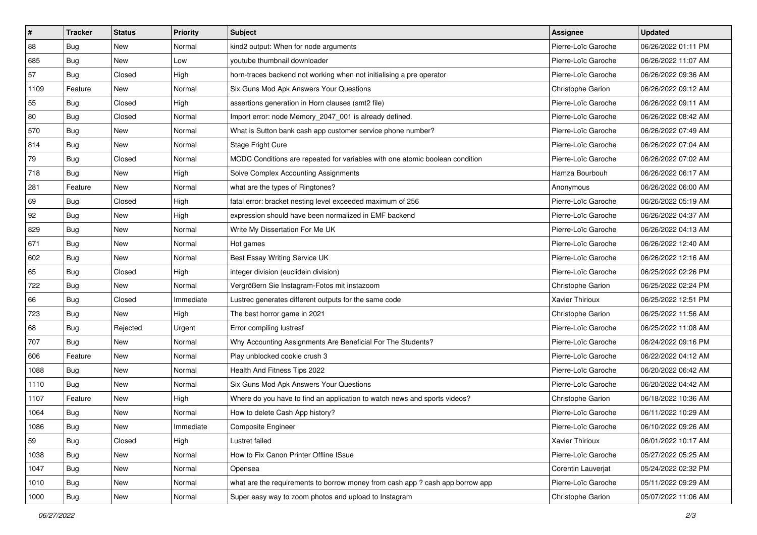| $\vert$ # | <b>Tracker</b> | <b>Status</b> | <b>Priority</b> | Subject                                                                       | <b>Assignee</b>          | <b>Updated</b>      |
|-----------|----------------|---------------|-----------------|-------------------------------------------------------------------------------|--------------------------|---------------------|
| 88        | Bug            | New           | Normal          | kind2 output: When for node arguments                                         | Pierre-Loïc Garoche      | 06/26/2022 01:11 PM |
| 685       | Bug            | <b>New</b>    | Low             | voutube thumbnail downloader                                                  | Pierre-Loïc Garoche      | 06/26/2022 11:07 AM |
| 57        | Bug            | Closed        | High            | horn-traces backend not working when not initialising a pre operator          | Pierre-Loïc Garoche      | 06/26/2022 09:36 AM |
| 1109      | Feature        | New           | Normal          | Six Guns Mod Apk Answers Your Questions                                       | Christophe Garion        | 06/26/2022 09:12 AM |
| 55        | Bug            | Closed        | High            | assertions generation in Horn clauses (smt2 file)                             | Pierre-Loïc Garoche      | 06/26/2022 09:11 AM |
| 80        | <b>Bug</b>     | Closed        | Normal          | Import error: node Memory_2047_001 is already defined.                        | Pierre-Loïc Garoche      | 06/26/2022 08:42 AM |
| 570       | Bug            | <b>New</b>    | Normal          | What is Sutton bank cash app customer service phone number?                   | Pierre-Loïc Garoche      | 06/26/2022 07:49 AM |
| 814       | Bug            | New           | Normal          | Stage Fright Cure                                                             | Pierre-Loïc Garoche      | 06/26/2022 07:04 AM |
| 79        | Bug            | Closed        | Normal          | MCDC Conditions are repeated for variables with one atomic boolean condition  | Pierre-Loïc Garoche      | 06/26/2022 07:02 AM |
| 718       | Bug            | <b>New</b>    | High            | Solve Complex Accounting Assignments                                          | Hamza Bourbouh           | 06/26/2022 06:17 AM |
| 281       | Feature        | <b>New</b>    | Normal          | what are the types of Ringtones?                                              | Anonymous                | 06/26/2022 06:00 AM |
| 69        | Bug            | Closed        | High            | fatal error: bracket nesting level exceeded maximum of 256                    | Pierre-Loïc Garoche      | 06/26/2022 05:19 AM |
| 92        | Bug            | New           | High            | expression should have been normalized in EMF backend                         | Pierre-Loïc Garoche      | 06/26/2022 04:37 AM |
| 829       | Bug            | <b>New</b>    | Normal          | Write My Dissertation For Me UK                                               | Pierre-Loïc Garoche      | 06/26/2022 04:13 AM |
| 671       | Bug            | <b>New</b>    | Normal          | Hot games                                                                     | Pierre-Loïc Garoche      | 06/26/2022 12:40 AM |
| 602       | Bug            | New           | Normal          | Best Essay Writing Service UK                                                 | Pierre-Loïc Garoche      | 06/26/2022 12:16 AM |
| 65        | Bug            | Closed        | High            | integer division (euclidein division)                                         | Pierre-Loïc Garoche      | 06/25/2022 02:26 PM |
| 722       | Bug            | <b>New</b>    | Normal          | Vergrößern Sie Instagram-Fotos mit instazoom                                  | Christophe Garion        | 06/25/2022 02:24 PM |
| 66        | Bug            | Closed        | Immediate       | Lustrec generates different outputs for the same code                         | <b>Xavier Thirioux</b>   | 06/25/2022 12:51 PM |
| 723       | Bug            | <b>New</b>    | High            | The best horror game in 2021                                                  | Christophe Garion        | 06/25/2022 11:56 AM |
| 68        | Bug            | Rejected      | Urgent          | Error compiling lustresf                                                      | Pierre-Loïc Garoche      | 06/25/2022 11:08 AM |
| 707       | Bug            | <b>New</b>    | Normal          | Why Accounting Assignments Are Beneficial For The Students?                   | Pierre-Loïc Garoche      | 06/24/2022 09:16 PM |
| 606       | Feature        | <b>New</b>    | Normal          | Play unblocked cookie crush 3                                                 | Pierre-Loïc Garoche      | 06/22/2022 04:12 AM |
| 1088      | Bug            | New           | Normal          | Health And Fitness Tips 2022                                                  | Pierre-Loïc Garoche      | 06/20/2022 06:42 AM |
| 1110      | Bug            | <b>New</b>    | Normal          | Six Guns Mod Apk Answers Your Questions                                       | Pierre-Loïc Garoche      | 06/20/2022 04:42 AM |
| 1107      | Feature        | New           | High            | Where do you have to find an application to watch news and sports videos?     | <b>Christophe Garion</b> | 06/18/2022 10:36 AM |
| 1064      | Bug            | New           | Normal          | How to delete Cash App history?                                               | Pierre-Loïc Garoche      | 06/11/2022 10:29 AM |
| 1086      | <b>Bug</b>     | New           | Immediate       | Composite Engineer                                                            | Pierre-Loïc Garoche      | 06/10/2022 09:26 AM |
| 59        | Bug            | Closed        | High            | Lustret failed                                                                | Xavier Thirioux          | 06/01/2022 10:17 AM |
| 1038      | Bug            | New           | Normal          | How to Fix Canon Printer Offline ISsue                                        | Pierre-Loïc Garoche      | 05/27/2022 05:25 AM |
| 1047      | Bug            | New           | Normal          | Opensea                                                                       | Corentin Lauverjat       | 05/24/2022 02:32 PM |
| 1010      | Bug            | New           | Normal          | what are the requirements to borrow money from cash app ? cash app borrow app | Pierre-Loïc Garoche      | 05/11/2022 09:29 AM |
| 1000      | <b>Bug</b>     | New           | Normal          | Super easy way to zoom photos and upload to Instagram                         | Christophe Garion        | 05/07/2022 11:06 AM |